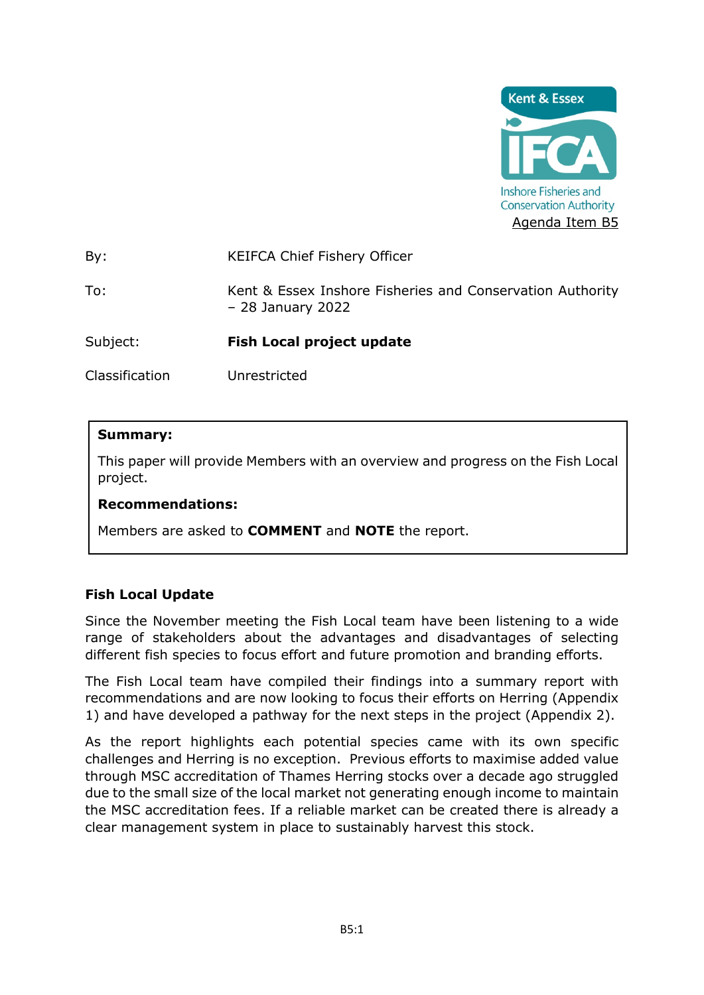

By: KEIFCA Chief Fishery Officer

To: Kent & Essex Inshore Fisheries and Conservation Authority – 28 January 2022

Subject: **Fish Local project update** 

Classification Unrestricted

### **Summary:**

This paper will provide Members with an overview and progress on the Fish Local project.

#### **Recommendations:**

Members are asked to **COMMENT** and **NOTE** the report.

# **Fish Local Update**

Since the November meeting the Fish Local team have been listening to a wide range of stakeholders about the advantages and disadvantages of selecting different fish species to focus effort and future promotion and branding efforts.

The Fish Local team have compiled their findings into a summary report with recommendations and are now looking to focus their efforts on Herring (Appendix 1) and have developed a pathway for the next steps in the project (Appendix 2).

As the report highlights each potential species came with its own specific challenges and Herring is no exception. Previous efforts to maximise added value through MSC accreditation of Thames Herring stocks over a decade ago struggled due to the small size of the local market not generating enough income to maintain the MSC accreditation fees. If a reliable market can be created there is already a clear management system in place to sustainably harvest this stock.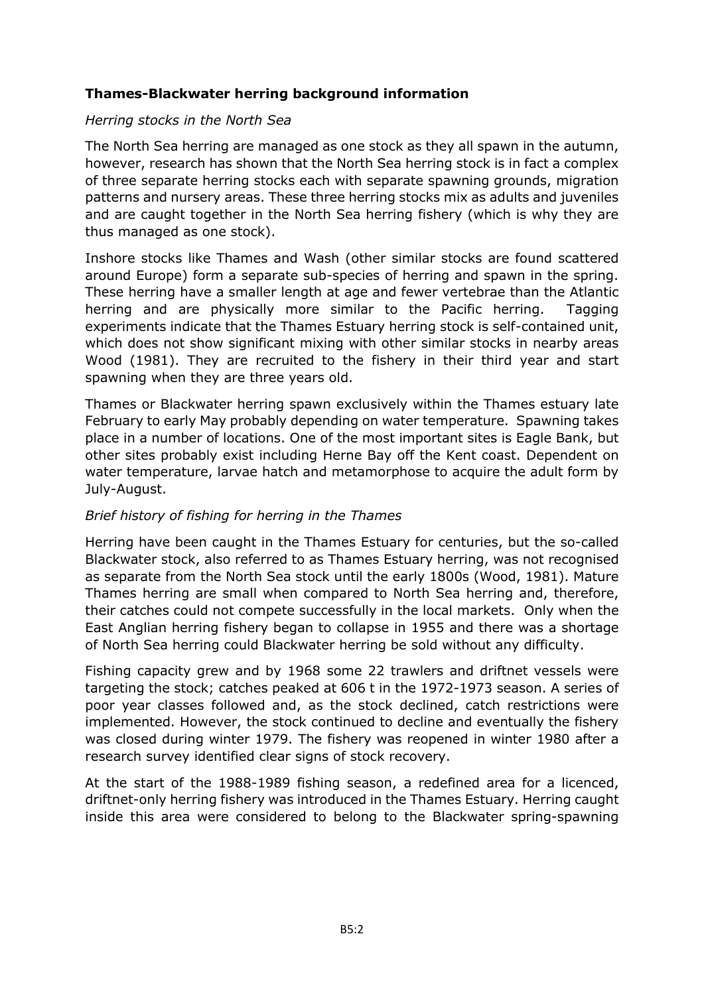# **Thames-Blackwater herring background information**

#### *Herring stocks in the North Sea*

The North Sea herring are managed as one stock as they all spawn in the autumn, however, research has shown that the North Sea herring stock is in fact a complex of three separate herring stocks each with separate spawning grounds, migration patterns and nursery areas. These three herring stocks mix as adults and juveniles and are caught together in the North Sea herring fishery (which is why they are thus managed as one stock).

Inshore stocks like Thames and Wash (other similar stocks are found scattered around Europe) form a separate sub-species of herring and spawn in the spring. These herring have a smaller length at age and fewer vertebrae than the Atlantic herring and are physically more similar to the Pacific herring. Tagging experiments indicate that the Thames Estuary herring stock is self-contained unit, which does not show significant mixing with other similar stocks in nearby areas Wood (1981). They are recruited to the fishery in their third year and start spawning when they are three years old.

Thames or Blackwater herring spawn exclusively within the Thames estuary late February to early May probably depending on water temperature. Spawning takes place in a number of locations. One of the most important sites is Eagle Bank, but other sites probably exist including Herne Bay off the Kent coast. Dependent on water temperature, larvae hatch and metamorphose to acquire the adult form by July-August.

# *Brief history of fishing for herring in the Thames*

Herring have been caught in the Thames Estuary for centuries, but the so-called Blackwater stock, also referred to as Thames Estuary herring, was not recognised as separate from the North Sea stock until the early 1800s (Wood, 1981). Mature Thames herring are small when compared to North Sea herring and, therefore, their catches could not compete successfully in the local markets. Only when the East Anglian herring fishery began to collapse in 1955 and there was a shortage of North Sea herring could Blackwater herring be sold without any difficulty.

Fishing capacity grew and by 1968 some 22 trawlers and driftnet vessels were targeting the stock; catches peaked at 606 t in the 1972-1973 season. A series of poor year classes followed and, as the stock declined, catch restrictions were implemented. However, the stock continued to decline and eventually the fishery was closed during winter 1979. The fishery was reopened in winter 1980 after a research survey identified clear signs of stock recovery.

At the start of the 1988-1989 fishing season, a redefined area for a licenced, driftnet-only herring fishery was introduced in the Thames Estuary. Herring caught inside this area were considered to belong to the Blackwater spring-spawning